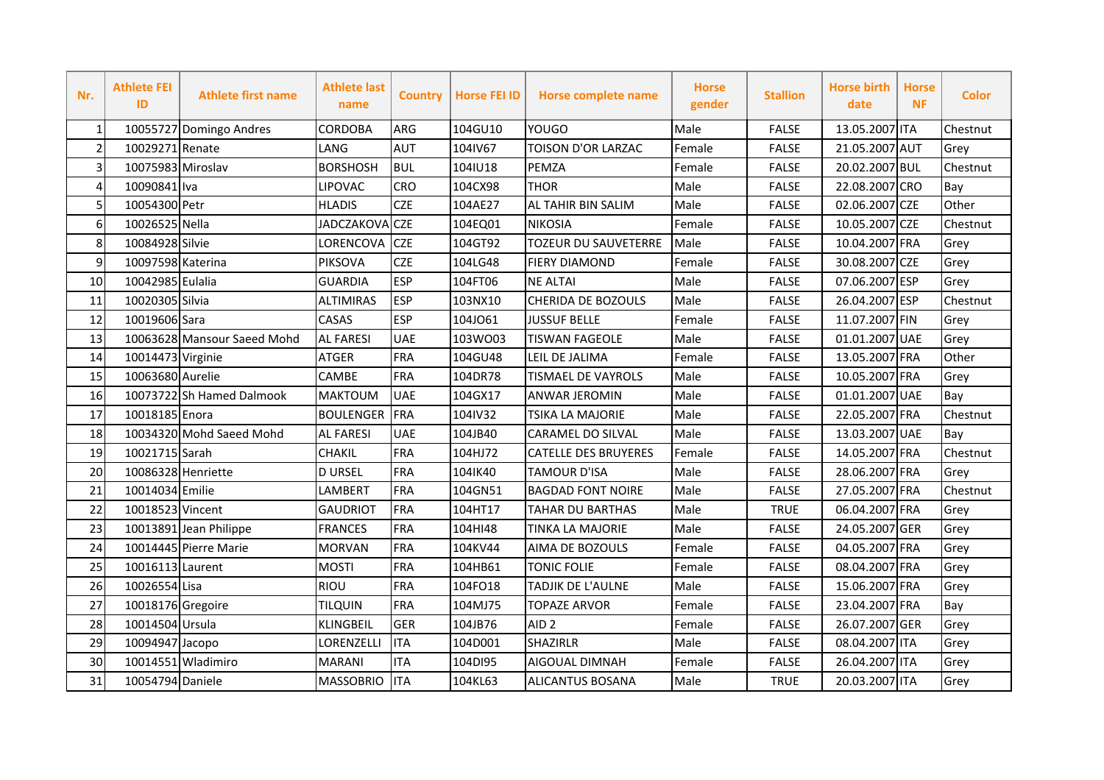| Nr.            | <b>Athlete FEI</b><br>ID | <b>Athlete first name</b>   | <b>Athlete last</b><br>name | <b>Country</b> | <b>Horse FEI ID</b> | <b>Horse complete name</b>  | <b>Horse</b><br>gender | <b>Stallion</b> | <b>Horse birth</b><br>date | <b>Horse</b><br><b>NF</b> | <b>Color</b> |
|----------------|--------------------------|-----------------------------|-----------------------------|----------------|---------------------|-----------------------------|------------------------|-----------------|----------------------------|---------------------------|--------------|
| $\mathbf{1}$   |                          | 10055727 Domingo Andres     | <b>CORDOBA</b>              | ARG            | 104GU10             | <b>YOUGO</b>                | Male                   | <b>FALSE</b>    | 13.05.2007 ITA             |                           | Chestnut     |
| $\overline{2}$ | 10029271 Renate          |                             | LANG                        | <b>AUT</b>     | 104IV67             | TOISON D'OR LARZAC          | Female                 | <b>FALSE</b>    | 21.05.2007 AUT             |                           | Grey         |
| 3              | 10075983 Miroslav        |                             | <b>BORSHOSH</b>             | <b>BUL</b>     | 104IU18             | <b>PEMZA</b>                | Female                 | <b>FALSE</b>    | 20.02.2007 BUL             |                           | Chestnut     |
| 4              | 10090841 Iva             |                             | LIPOVAC                     | <b>CRO</b>     | 104CX98             | <b>THOR</b>                 | Male                   | <b>FALSE</b>    | 22.08.2007 CRO             |                           | Bay          |
| 5              | 10054300 Petr            |                             | <b>HLADIS</b>               | <b>CZE</b>     | 104AE27             | <b>AL TAHIR BIN SALIM</b>   | Male                   | <b>FALSE</b>    | 02.06.2007 CZE             |                           | Other        |
| 6              | 10026525 Nella           |                             | <b>JADCZAKOVA</b>           | <b>CZE</b>     | 104EQ01             | <b>NIKOSIA</b>              | Female                 | <b>FALSE</b>    | 10.05.2007 CZE             |                           | Chestnut     |
| 8              | 10084928 Silvie          |                             | LORENCOVA                   | <b>CZE</b>     | 104GT92             | <b>TOZEUR DU SAUVETERRE</b> | Male                   | <b>FALSE</b>    | 10.04.2007 FRA             |                           | Grey         |
| 9              | 10097598 Katerina        |                             | PIKSOVA                     | <b>CZE</b>     | 104LG48             | <b>FIERY DIAMOND</b>        | Female                 | <b>FALSE</b>    | 30.08.2007 CZE             |                           | Grey         |
| 10             | 10042985 Eulalia         |                             | <b>GUARDIA</b>              | <b>ESP</b>     | 104FT06             | <b>NE ALTAI</b>             | Male                   | <b>FALSE</b>    | 07.06.2007 ESP             |                           | Grey         |
| 11             | 10020305 Silvia          |                             | <b>ALTIMIRAS</b>            | <b>ESP</b>     | 103NX10             | CHERIDA DE BOZOULS          | Male                   | <b>FALSE</b>    | 26.04.2007 ESP             |                           | Chestnut     |
| 12             | 10019606 Sara            |                             | CASAS                       | <b>ESP</b>     | 104J061             | <b>JUSSUF BELLE</b>         | Female                 | <b>FALSE</b>    | 11.07.2007 FIN             |                           | Grey         |
| 13             |                          | 10063628 Mansour Saeed Mohd | <b>AL FARESI</b>            | <b>UAE</b>     | 103WO03             | <b>TISWAN FAGEOLE</b>       | Male                   | <b>FALSE</b>    | 01.01.2007 UAE             |                           | Grey         |
| 14             | 10014473 Virginie        |                             | <b>ATGER</b>                | FRA            | 104GU48             | LEIL DE JALIMA              | Female                 | <b>FALSE</b>    | 13.05.2007 FRA             |                           | Other        |
| 15             | 10063680 Aurelie         |                             | CAMBE                       | FRA            | 104DR78             | <b>TISMAEL DE VAYROLS</b>   | Male                   | <b>FALSE</b>    | 10.05.2007 FRA             |                           | Grey         |
| 16             |                          | 10073722 Sh Hamed Dalmook   | <b>MAKTOUM</b>              | <b>UAE</b>     | 104GX17             | <b>ANWAR JEROMIN</b>        | Male                   | <b>FALSE</b>    | 01.01.2007 UAE             |                           | Bay          |
| 17             | 10018185 Enora           |                             | <b>BOULENGER</b>            | FRA            | 104IV32             | <b>TSIKA LA MAJORIE</b>     | Male                   | <b>FALSE</b>    | 22.05.2007 FRA             |                           | Chestnut     |
| 18             |                          | 10034320 Mohd Saeed Mohd    | <b>AL FARESI</b>            | <b>UAE</b>     | 104JB40             | <b>CARAMEL DO SILVAL</b>    | Male                   | <b>FALSE</b>    | 13.03.2007 UAE             |                           | Bay          |
| 19             | 10021715 Sarah           |                             | CHAKIL                      | <b>FRA</b>     | 104HJ72             | <b>CATELLE DES BRUYERES</b> | Female                 | <b>FALSE</b>    | 14.05.2007 FRA             |                           | Chestnut     |
| 20             |                          | 10086328 Henriette          | <b>D URSEL</b>              | <b>FRA</b>     | 104IK40             | <b>TAMOUR D'ISA</b>         | Male                   | <b>FALSE</b>    | 28.06.2007 FRA             |                           | Grey         |
| 21             | 10014034 Emilie          |                             | LAMBERT                     | <b>FRA</b>     | 104GN51             | <b>BAGDAD FONT NOIRE</b>    | Male                   | <b>FALSE</b>    | 27.05.2007 FRA             |                           | Chestnut     |
| 22             | 10018523 Vincent         |                             | <b>GAUDRIOT</b>             | <b>FRA</b>     | 104HT17             | <b>TAHAR DU BARTHAS</b>     | Male                   | <b>TRUE</b>     | 06.04.2007 FRA             |                           | Grey         |
| 23             |                          | 10013891 Jean Philippe      | <b>FRANCES</b>              | <b>FRA</b>     | 104HI48             | <b>TINKA LA MAJORIE</b>     | Male                   | <b>FALSE</b>    | 24.05.2007 GER             |                           | Grey         |
| 24             |                          | 10014445 Pierre Marie       | <b>MORVAN</b>               | <b>FRA</b>     | 104KV44             | AIMA DE BOZOULS             | Female                 | <b>FALSE</b>    | 04.05.2007 FRA             |                           | Grey         |
| 25             | 10016113 Laurent         |                             | <b>MOSTI</b>                | FRA            | 104HB61             | <b>TONIC FOLIE</b>          | Female                 | <b>FALSE</b>    | 08.04.2007 FRA             |                           | Grey         |
| 26             | 10026554 Lisa            |                             | <b>RIOU</b>                 | FRA            | 104FO18             | <b>TADJIK DE L'AULNE</b>    | Male                   | <b>FALSE</b>    | 15.06.2007 FRA             |                           | Grey         |
| 27             | 10018176 Gregoire        |                             | <b>TILQUIN</b>              | <b>FRA</b>     | 104MJ75             | <b>TOPAZE ARVOR</b>         | Female                 | <b>FALSE</b>    | 23.04.2007 FRA             |                           | Bay          |
| 28             | 10014504 Ursula          |                             | <b>KLINGBEIL</b>            | <b>GER</b>     | 104JB76             | AID <sub>2</sub>            | Female                 | <b>FALSE</b>    | 26.07.2007 GER             |                           | Grey         |
| 29             | 10094947 Jacopo          |                             | LORENZELLI                  | <b>ITA</b>     | 104D001             | <b>SHAZIRLR</b>             | Male                   | <b>FALSE</b>    | 08.04.2007 ITA             |                           | Grey         |
| 30             |                          | 10014551 Wladimiro          | <b>MARANI</b>               | <b>ITA</b>     | 104DI95             | <b>AIGOUAL DIMNAH</b>       | Female                 | <b>FALSE</b>    | 26.04.2007 ITA             |                           | Grey         |
| 31             | 10054794 Daniele         |                             | <b>MASSOBRIO</b>            | <b>ITA</b>     | 104KL63             | <b>ALICANTUS BOSANA</b>     | Male                   | <b>TRUE</b>     | 20.03.2007 ITA             |                           | Grey         |